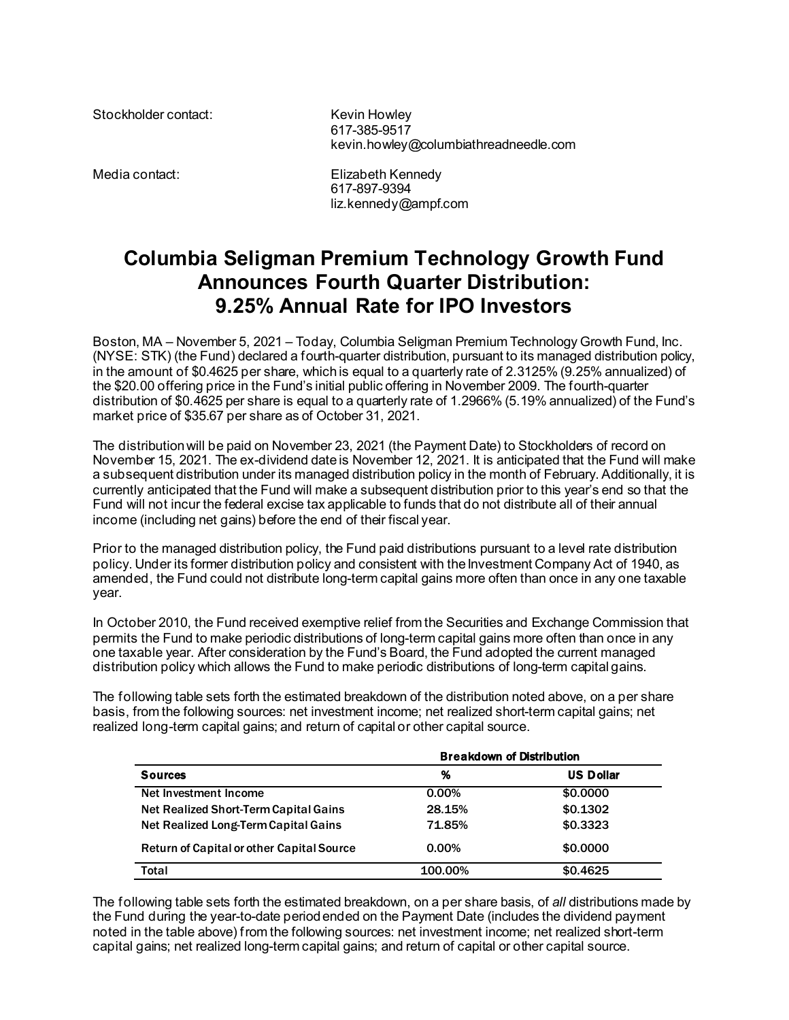Stockholder contact: Kevin Howley

617-385-9517 kevin.howley@columbiathreadneedle.com

Media contact: Elizabeth Kennedy 617-897-9394 liz.kennedy@ampf.com

## **Columbia Seligman Premium Technology Growth Fund Announces Fourth Quarter Distribution: 9.25% Annual Rate for IPO Investors**

Boston, MA – November 5, 2021 – Today, Columbia Seligman Premium Technology Growth Fund, Inc. (NYSE: STK) (the Fund) declared a fourth-quarter distribution, pursuant to its managed distribution policy, in the amount of \$0.4625 per share, which is equal to a quarterly rate of 2.3125% (9.25% annualized) of the \$20.00 offering price in the Fund's initial public offering in November 2009. The fourth-quarter distribution of \$0.4625 per share is equal to a quarterly rate of 1.2966% (5.19% annualized) of the Fund's market price of \$35.67 per share as of October 31, 2021.

The distribution will be paid on November 23, 2021 (the Payment Date) to Stockholders of record on November 15, 2021. The ex-dividend date is November 12, 2021. It is anticipated that the Fund will make a subsequent distribution under its managed distribution policy in the month of February. Additionally, it is currently anticipated that the Fund will make a subsequent distribution prior to this year's end so that the Fund will not incur the federal excise tax applicable to funds that do not distribute all of their annual income (including net gains) before the end of their fiscal year.

Prior to the managed distribution policy, the Fund paid distributions pursuant to a level rate distribution policy. Under its former distribution policy and consistent with the Investment Company Act of 1940, as amended, the Fund could not distribute long-term capital gains more often than once in any one taxable year.

In October 2010, the Fund received exemptive relief from the Securities and Exchange Commission that permits the Fund to make periodic distributions of long-term capital gains more often than once in any one taxable year. After consideration by the Fund's Board, the Fund adopted the current managed distribution policy which allows the Fund to make periodic distributions of long-term capital gains.

The following table sets forth the estimated breakdown of the distribution noted above, on a per share basis, from the following sources: net investment income; net realized short-term capital gains; net realized long-term capital gains; and return of capital or other capital source.

|                                                  | <b>Breakdown of Distribution</b> |                  |
|--------------------------------------------------|----------------------------------|------------------|
| <b>Sources</b>                                   | %                                | <b>US Dollar</b> |
| Net Investment Income                            | $0.00\%$                         | \$0,0000         |
| Net Realized Short-Term Capital Gains            | 28.15%                           | \$0.1302         |
| Net Realized Long-Term Capital Gains             | 71.85%                           | \$0.3323         |
| <b>Return of Capital or other Capital Source</b> | $0.00\%$                         | \$0,0000         |
| Total                                            | 100.00%                          | \$0.4625         |

The following table sets forth the estimated breakdown, on a per share basis, of *all* distributions made by the Fund during the year-to-date period ended on the Payment Date (includes the dividend payment noted in the table above) from the following sources: net investment income; net realized short-term capital gains; net realized long-term capital gains; and return of capital or other capital source.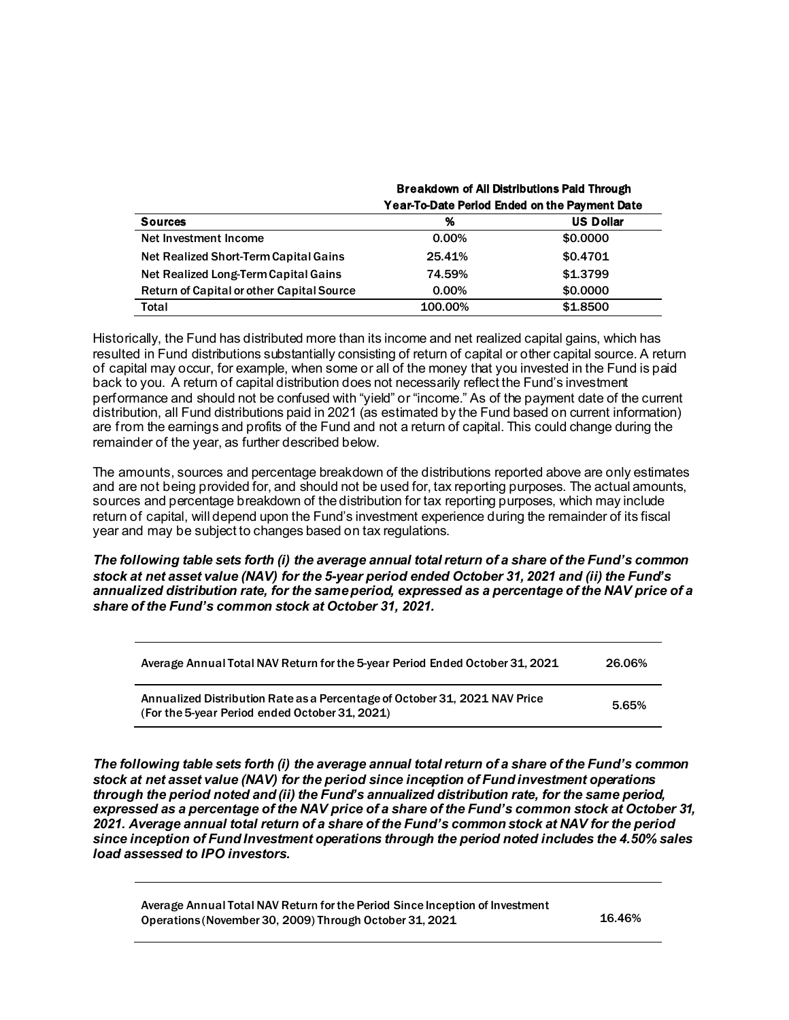Breakdown of All Distributions Paid Through Year-To-Date Period Ended on the Payment Date

| <b>Sources</b>                                   | %        | <b>US Dollar</b> |
|--------------------------------------------------|----------|------------------|
| Net Investment Income                            | $0.00\%$ | \$0,0000         |
| Net Realized Short-Term Capital Gains            | 25.41%   | \$0.4701         |
| Net Realized Long-Term Capital Gains             | 74.59%   | \$1,3799         |
| <b>Return of Capital or other Capital Source</b> | $0.00\%$ | \$0,0000         |
| Total                                            | 100.00%  | \$1,8500         |

Historically, the Fund has distributed more than its income and net realized capital gains, which has resulted in Fund distributions substantially consisting of return of capital or other capital source. A return of capital may occur, for example, when some or all of the money that you invested in the Fund is paid back to you. A return of capital distribution does not necessarily reflect the Fund's investment performance and should not be confused with "yield" or "income." As of the payment date of the current distribution, all Fund distributions paid in 2021 (as estimated by the Fund based on current information) are from the earnings and profits of the Fund and not a return of capital. This could change during the remainder of the year, as further described below.

The amounts, sources and percentage breakdown of the distributions reported above are only estimates and are not being provided for, and should not be used for, tax reporting purposes. The actual amounts, sources and percentage breakdown of the distribution for tax reporting purposes, which may include return of capital, will depend upon the Fund's investment experience during the remainder of its fiscal year and may be subject to changes based on tax regulations.

*The following table sets forth (i) the average annual total return of a share of the Fund's common stock at net asset value (NAV) for the 5-year period ended October 31, 2021 and (ii) the Fund's annualized distribution rate, for the same period, expressed as a percentage of the NAV price of a share of the Fund's common stock at October 31, 2021.* 

| Average Annual Total NAV Return for the 5-year Period Ended October 31, 2021                                                 | 26.06% |
|------------------------------------------------------------------------------------------------------------------------------|--------|
| Annualized Distribution Rate as a Percentage of October 31, 2021 NAV Price<br>(For the 5-year Period ended October 31, 2021) | 5.65%  |

*The following table sets forth (i) the average annual total return of a share of the Fund's common stock at net asset value (NAV) for the period since inception of Fund investment operations through the period noted and (ii) the Fund's annualized distribution rate, for the same period, expressed as a percentage of the NAV price of a share of the Fund's common stock at October 31, 2021. Average annual total return of a share of the Fund's common stock at NAV for the period since inception of Fund Investment operations through the period noted includes the 4.50% sales load assessed to IPO investors.*

Average Annual Total NAV Return for the Period Since Inception of Investment Operations (November 30, 2009) Through October 31, 2021 16.46%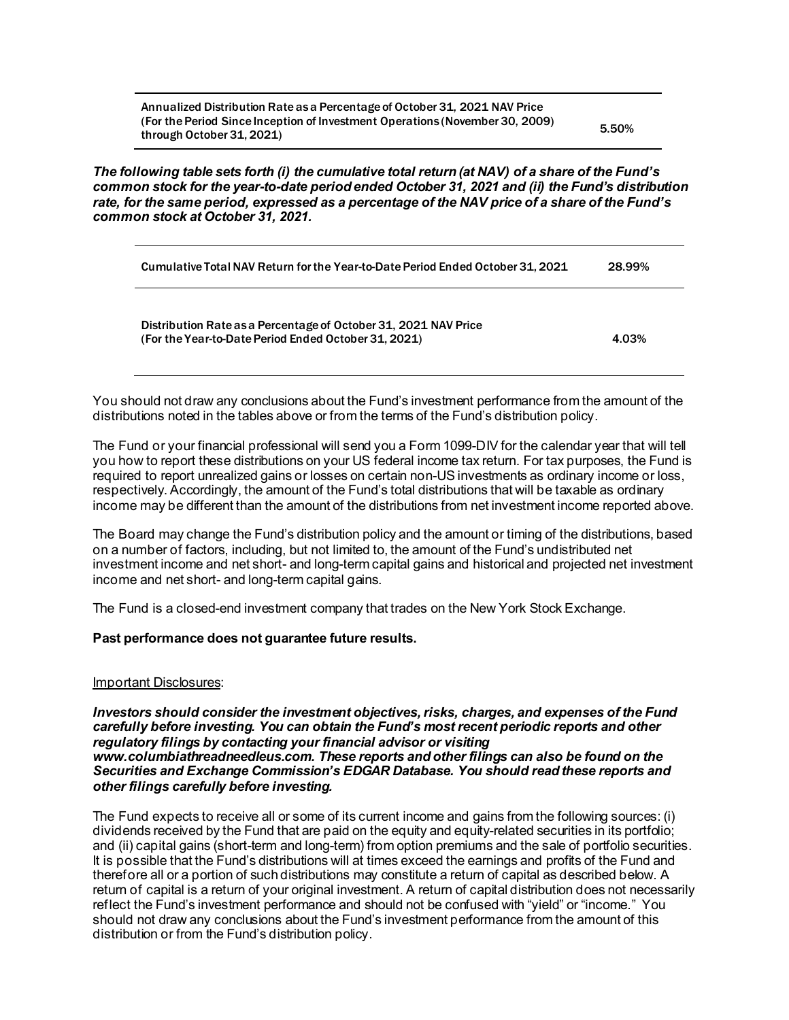Annualized Distribution Rate as a Percentage of October 31, 2021 NAV Price (For the Period Since Inception of Investment Operations (November 30, 2009) through October 31, 2021) through October 31, 2021

*The following table sets forth (i) the cumulative total return (at NAV) of a share of the Fund's common stock for the year-to-date period ended October 31, 2021 and (ii) the Fund's distribution rate, for the same period, expressed as a percentage of the NAV price of a share of the Fund's common stock at October 31, 2021.*

| Cumulative Total NAV Return for the Year-to-Date Period Ended October 31, 2021                                          | 28.99% |
|-------------------------------------------------------------------------------------------------------------------------|--------|
| Distribution Rate as a Percentage of October 31, 2021 NAV Price<br>(For the Year-to-Date Period Ended October 31, 2021) | 4.03%  |

You should not draw any conclusions about the Fund's investment performance from the amount of the distributions noted in the tables above or from the terms of the Fund's distribution policy.

The Fund or your financial professional will send you a Form 1099-DIV for the calendar year that will tell you how to report these distributions on your US federal income tax return. For tax purposes, the Fund is required to report unrealized gains or losses on certain non-US investments as ordinary income or loss, respectively. Accordingly, the amount of the Fund's total distributions that will be taxable as ordinary income may be different than the amount of the distributions from net investment income reported above.

The Board may change the Fund's distribution policy and the amount or timing of the distributions, based on a number of factors, including, but not limited to, the amount of the Fund's undistributed net investment income and net short- and long-term capital gains and historical and projected net investment income and net short- and long-term capital gains.

The Fund is a closed-end investment company that trades on the New York Stock Exchange.

## **Past performance does not guarantee future results.**

## Important Disclosures:

*Investors should consider the investment objectives, risks, charges, and expenses of the Fund carefully before investing. You can obtain the Fund's most recent periodic reports and other regulatory filings by contacting your financial advisor or visiting www.columbiathreadneedleus.com. These reports and other filings can also be found on the Securities and Exchange Commission's EDGAR Database. You should read these reports and other filings carefully before investing.*

The Fund expects to receive all or some of its current income and gains from the following sources: (i) dividends received by the Fund that are paid on the equity and equity-related securities in its portfolio; and (ii) capital gains (short-term and long-term) from option premiums and the sale of portfolio securities. It is possible that the Fund's distributions will at times exceed the earnings and profits of the Fund and therefore all or a portion of such distributions may constitute a return of capital as described below. A return of capital is a return of your original investment. A return of capital distribution does not necessarily reflect the Fund's investment performance and should not be confused with "yield" or "income." You should not draw any conclusions about the Fund's investment performance from the amount of this distribution or from the Fund's distribution policy.